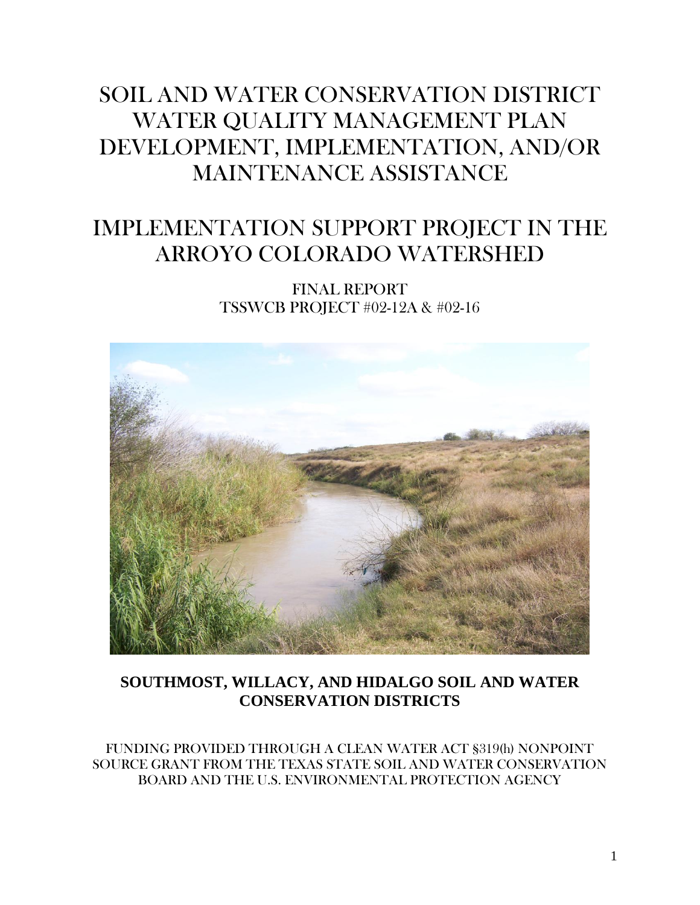# SOIL AND WATER CONSERVATION DISTRICT WATER QUALITY MANAGEMENT PLAN DEVELOPMENT, IMPLEMENTATION, AND/OR MAINTENANCE ASSISTANCE

# IMPLEMENTATION SUPPORT PROJECT IN THE ARROYO COLORADO WATERSHED

FINAL REPORT TSSWCB PROJECT #02-12A & #02-16



### **SOUTHMOST, WILLACY, AND HIDALGO SOIL AND WATER CONSERVATION DISTRICTS**

FUNDING PROVIDED THROUGH A CLEAN WATER ACT §319(h) NONPOINT SOURCE GRANT FROM THE TEXAS STATE SOIL AND WATER CONSERVATION BOARD AND THE U.S. ENVIRONMENTAL PROTECTION AGENCY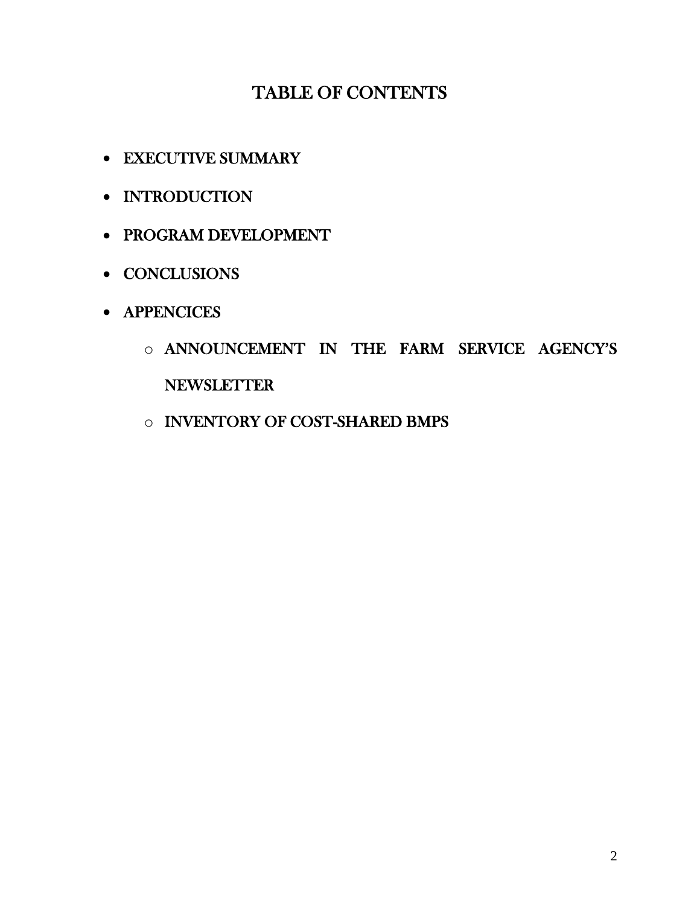### TABLE OF CONTENTS

- EXECUTIVE SUMMARY
- INTRODUCTION
- PROGRAM DEVELOPMENT
- CONCLUSIONS
- APPENCICES
	- o ANNOUNCEMENT IN THE FARM SERVICE AGENCY'S NEWSLETTER
	- o INVENTORY OF COST-SHARED BMPS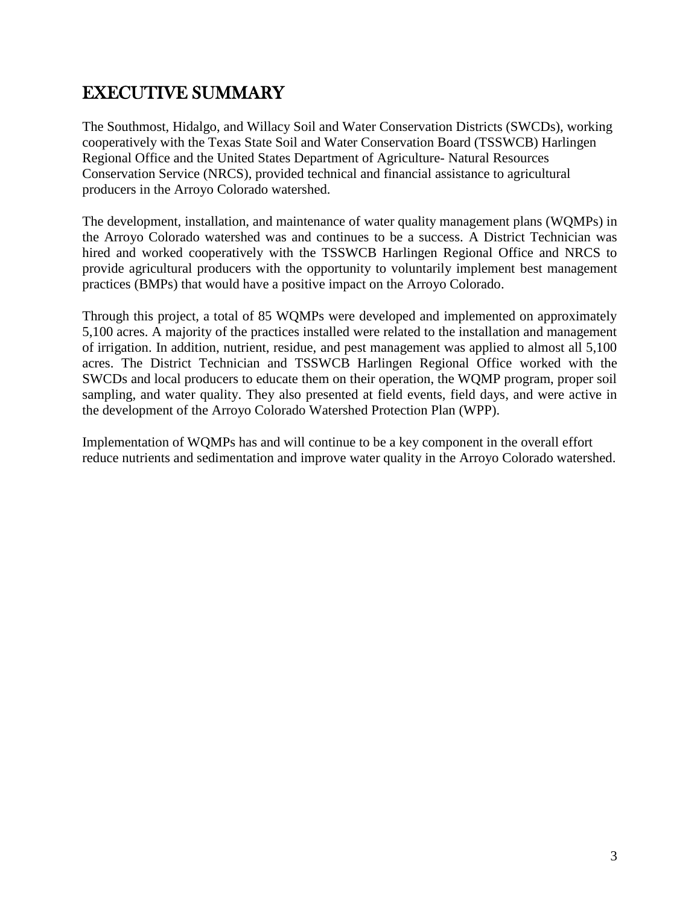### EXECUTIVE SUMMARY

The Southmost, Hidalgo, and Willacy Soil and Water Conservation Districts (SWCDs), working cooperatively with the Texas State Soil and Water Conservation Board (TSSWCB) Harlingen Regional Office and the United States Department of Agriculture- Natural Resources Conservation Service (NRCS), provided technical and financial assistance to agricultural producers in the Arroyo Colorado watershed.

The development, installation, and maintenance of water quality management plans (WQMPs) in the Arroyo Colorado watershed was and continues to be a success. A District Technician was hired and worked cooperatively with the TSSWCB Harlingen Regional Office and NRCS to provide agricultural producers with the opportunity to voluntarily implement best management practices (BMPs) that would have a positive impact on the Arroyo Colorado.

Through this project, a total of 85 WQMPs were developed and implemented on approximately 5,100 acres. A majority of the practices installed were related to the installation and management of irrigation. In addition, nutrient, residue, and pest management was applied to almost all 5,100 acres. The District Technician and TSSWCB Harlingen Regional Office worked with the SWCDs and local producers to educate them on their operation, the WQMP program, proper soil sampling, and water quality. They also presented at field events, field days, and were active in the development of the Arroyo Colorado Watershed Protection Plan (WPP).

Implementation of WQMPs has and will continue to be a key component in the overall effort reduce nutrients and sedimentation and improve water quality in the Arroyo Colorado watershed.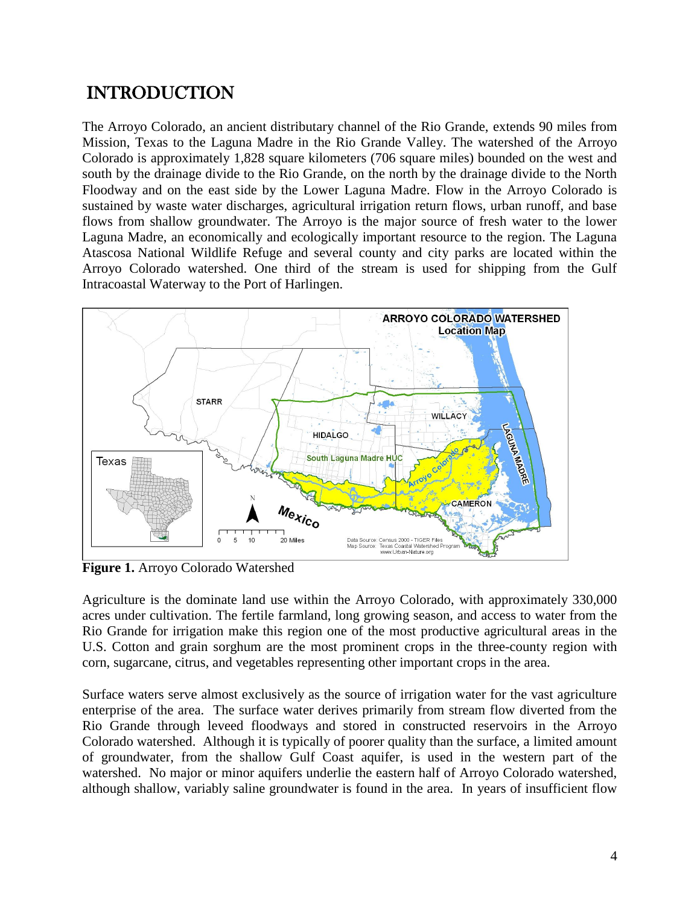### INTRODUCTION

The Arroyo Colorado, an ancient distributary channel of the Rio Grande, extends 90 miles from Mission, Texas to the Laguna Madre in the Rio Grande Valley. The watershed of the Arroyo Colorado is approximately 1,828 square kilometers (706 square miles) bounded on the west and south by the drainage divide to the Rio Grande, on the north by the drainage divide to the North Floodway and on the east side by the Lower Laguna Madre. Flow in the Arroyo Colorado is sustained by waste water discharges, agricultural irrigation return flows, urban runoff, and base flows from shallow groundwater. The Arroyo is the major source of fresh water to the lower Laguna Madre, an economically and ecologically important resource to the region. The Laguna Atascosa National Wildlife Refuge and several county and city parks are located within the Arroyo Colorado watershed. One third of the stream is used for shipping from the Gulf Intracoastal Waterway to the Port of Harlingen.



**Figure 1.** Arroyo Colorado Watershed

Agriculture is the dominate land use within the Arroyo Colorado, with approximately 330,000 acres under cultivation. The fertile farmland, long growing season, and access to water from the Rio Grande for irrigation make this region one of the most productive agricultural areas in the U.S. Cotton and grain sorghum are the most prominent crops in the three-county region with corn, sugarcane, citrus, and vegetables representing other important crops in the area.

Surface waters serve almost exclusively as the source of irrigation water for the vast agriculture enterprise of the area. The surface water derives primarily from stream flow diverted from the Rio Grande through leveed floodways and stored in constructed reservoirs in the Arroyo Colorado watershed. Although it is typically of poorer quality than the surface, a limited amount of groundwater, from the shallow Gulf Coast aquifer, is used in the western part of the watershed. No major or minor aquifers underlie the eastern half of Arroyo Colorado watershed, although shallow, variably saline groundwater is found in the area. In years of insufficient flow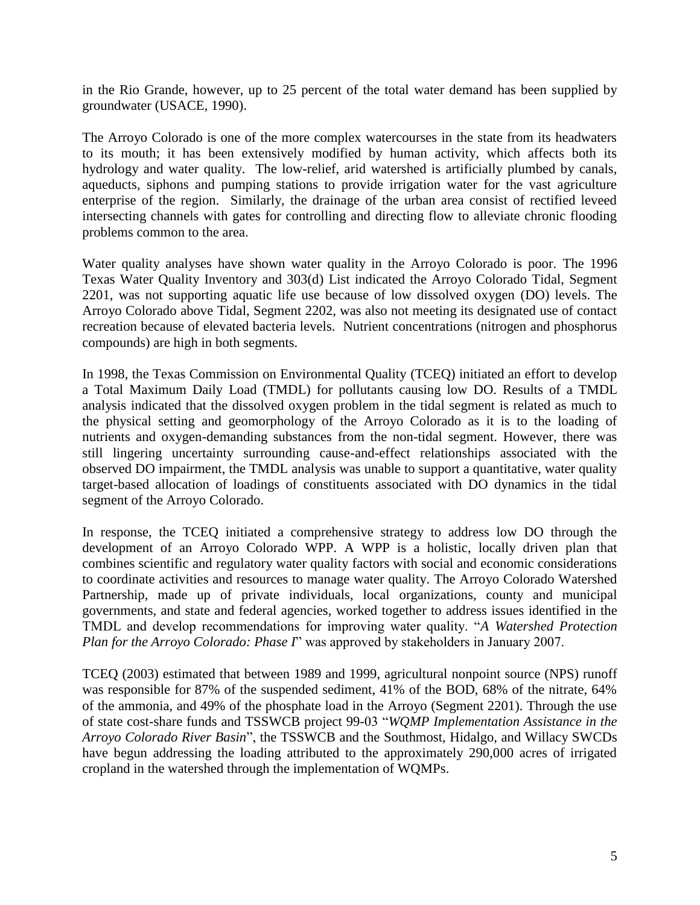in the Rio Grande, however, up to 25 percent of the total water demand has been supplied by groundwater (USACE, 1990).

The Arroyo Colorado is one of the more complex watercourses in the state from its headwaters to its mouth; it has been extensively modified by human activity, which affects both its hydrology and water quality. The low-relief, arid watershed is artificially plumbed by canals, aqueducts, siphons and pumping stations to provide irrigation water for the vast agriculture enterprise of the region. Similarly, the drainage of the urban area consist of rectified leveed intersecting channels with gates for controlling and directing flow to alleviate chronic flooding problems common to the area.

Water quality analyses have shown water quality in the Arroyo Colorado is poor. The 1996 Texas Water Quality Inventory and 303(d) List indicated the Arroyo Colorado Tidal, Segment 2201, was not supporting aquatic life use because of low dissolved oxygen (DO) levels. The Arroyo Colorado above Tidal, Segment 2202, was also not meeting its designated use of contact recreation because of elevated bacteria levels. Nutrient concentrations (nitrogen and phosphorus compounds) are high in both segments.

In 1998, the Texas Commission on Environmental Quality (TCEQ) initiated an effort to develop a Total Maximum Daily Load (TMDL) for pollutants causing low DO. Results of a TMDL analysis indicated that the dissolved oxygen problem in the tidal segment is related as much to the physical setting and geomorphology of the Arroyo Colorado as it is to the loading of nutrients and oxygen-demanding substances from the non-tidal segment. However, there was still lingering uncertainty surrounding cause-and-effect relationships associated with the observed DO impairment, the TMDL analysis was unable to support a quantitative, water quality target-based allocation of loadings of constituents associated with DO dynamics in the tidal segment of the Arroyo Colorado.

In response, the TCEQ initiated a comprehensive strategy to address low DO through the development of an Arroyo Colorado WPP. A WPP is a holistic, locally driven plan that combines scientific and regulatory water quality factors with social and economic considerations to coordinate activities and resources to manage water quality. The Arroyo Colorado Watershed Partnership, made up of private individuals, local organizations, county and municipal governments, and state and federal agencies, worked together to address issues identified in the TMDL and develop recommendations for improving water quality. "*A Watershed Protection Plan for the Arroyo Colorado: Phase I*" was approved by stakeholders in January 2007.

TCEQ (2003) estimated that between 1989 and 1999, agricultural nonpoint source (NPS) runoff was responsible for 87% of the suspended sediment, 41% of the BOD, 68% of the nitrate, 64% of the ammonia, and 49% of the phosphate load in the Arroyo (Segment 2201). Through the use of state cost-share funds and TSSWCB project 99-03 "*WQMP Implementation Assistance in the Arroyo Colorado River Basin*", the TSSWCB and the Southmost, Hidalgo, and Willacy SWCDs have begun addressing the loading attributed to the approximately 290,000 acres of irrigated cropland in the watershed through the implementation of WQMPs.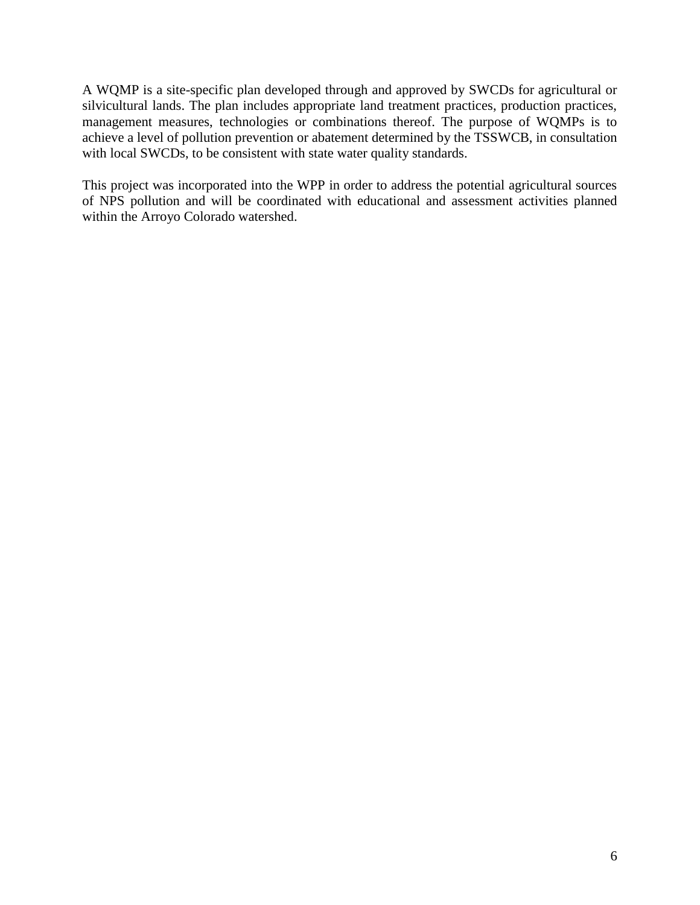A WQMP is a site-specific plan developed through and approved by SWCDs for agricultural or silvicultural lands. The plan includes appropriate land treatment practices, production practices, management measures, technologies or combinations thereof. The purpose of WQMPs is to achieve a level of pollution prevention or abatement determined by the TSSWCB, in consultation with local SWCDs, to be consistent with state water quality standards.

This project was incorporated into the WPP in order to address the potential agricultural sources of NPS pollution and will be coordinated with educational and assessment activities planned within the Arroyo Colorado watershed.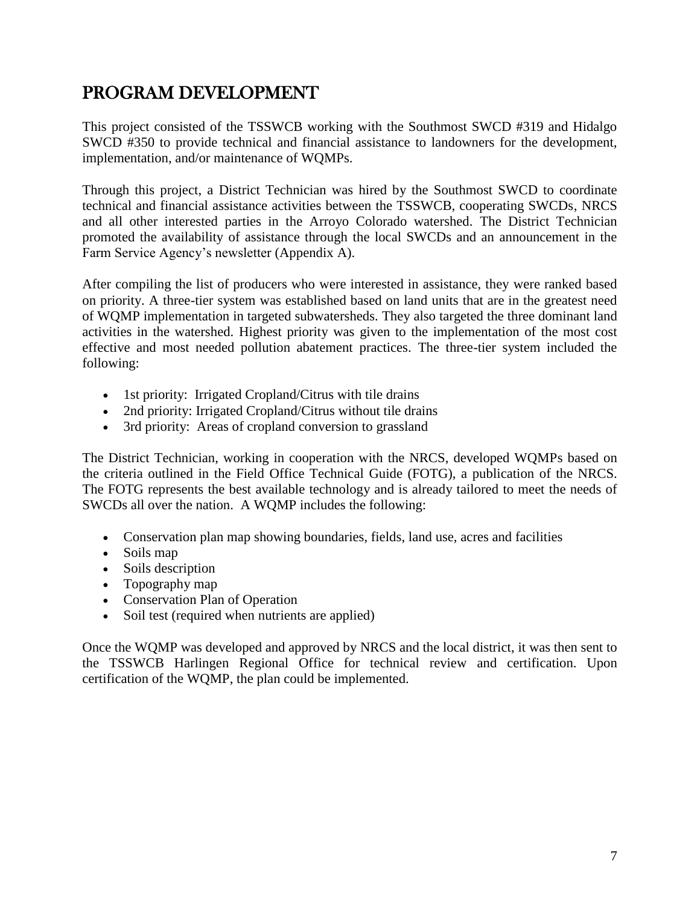### PROGRAM DEVELOPMENT

This project consisted of the TSSWCB working with the Southmost SWCD #319 and Hidalgo SWCD #350 to provide technical and financial assistance to landowners for the development, implementation, and/or maintenance of WQMPs.

Through this project, a District Technician was hired by the Southmost SWCD to coordinate technical and financial assistance activities between the TSSWCB, cooperating SWCDs, NRCS and all other interested parties in the Arroyo Colorado watershed. The District Technician promoted the availability of assistance through the local SWCDs and an announcement in the Farm Service Agency's newsletter (Appendix A).

After compiling the list of producers who were interested in assistance, they were ranked based on priority. A three-tier system was established based on land units that are in the greatest need of WQMP implementation in targeted subwatersheds. They also targeted the three dominant land activities in the watershed. Highest priority was given to the implementation of the most cost effective and most needed pollution abatement practices. The three-tier system included the following:

- 1st priority: Irrigated Cropland/Citrus with tile drains
- 2nd priority: Irrigated Cropland/Citrus without tile drains
- 3rd priority: Areas of cropland conversion to grassland

The District Technician, working in cooperation with the NRCS, developed WQMPs based on the criteria outlined in the Field Office Technical Guide (FOTG), a publication of the NRCS. The FOTG represents the best available technology and is already tailored to meet the needs of SWCDs all over the nation. A WQMP includes the following:

- Conservation plan map showing boundaries, fields, land use, acres and facilities
- Soils map
- Soils description
- Topography map
- Conservation Plan of Operation
- Soil test (required when nutrients are applied)

Once the WQMP was developed and approved by NRCS and the local district, it was then sent to the TSSWCB Harlingen Regional Office for technical review and certification. Upon certification of the WQMP, the plan could be implemented.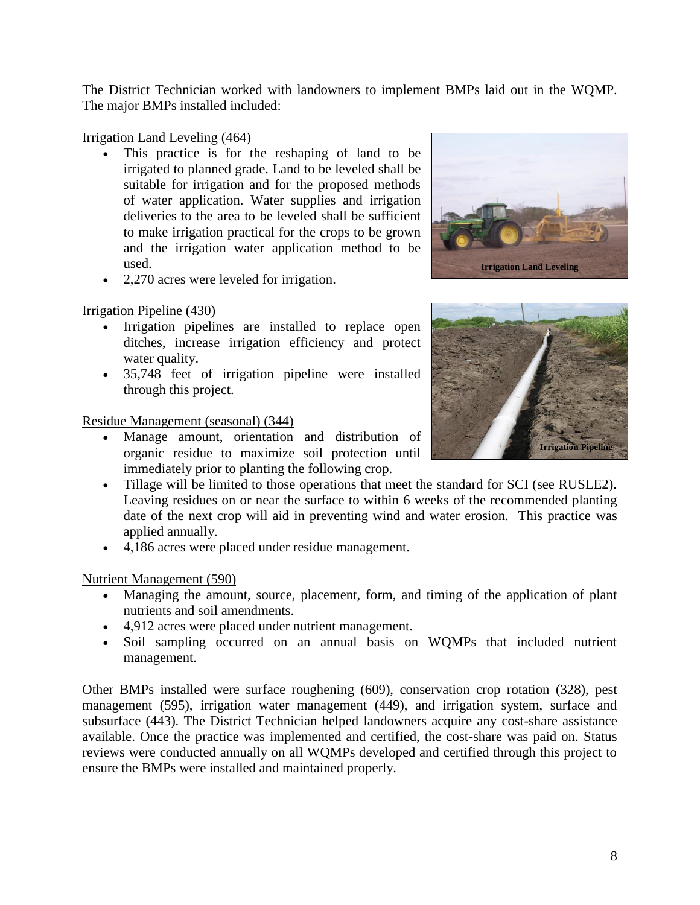The District Technician worked with landowners to implement BMPs laid out in the WQMP. The major BMPs installed included:

#### Irrigation Land Leveling (464)

- This practice is for the reshaping of land to be irrigated to planned grade. Land to be leveled shall be suitable for irrigation and for the proposed methods of water application. Water supplies and irrigation deliveries to the area to be leveled shall be sufficient to make irrigation practical for the crops to be grown and the irrigation water application method to be used.
- 2,270 acres were leveled for irrigation.

#### Irrigation Pipeline (430)

- Irrigation pipelines are installed to replace open ditches, increase irrigation efficiency and protect water quality.
- 35,748 feet of irrigation pipeline were installed through this project.

#### Residue Management (seasonal) (344)

- Manage amount, orientation and distribution of organic residue to maximize soil protection until immediately prior to planting the following crop.
- Tillage will be limited to those operations that meet the standard for SCI (see RUSLE2). Leaving residues on or near the surface to within 6 weeks of the recommended planting date of the next crop will aid in preventing wind and water erosion. This practice was applied annually.
- 4,186 acres were placed under residue management.

#### Nutrient Management (590)

- Managing the amount, source, placement, form, and timing of the application of plant nutrients and soil amendments.
- 4,912 acres were placed under nutrient management.
- Soil sampling occurred on an annual basis on WQMPs that included nutrient management.

Other BMPs installed were surface roughening (609), conservation crop rotation (328), pest management (595), irrigation water management (449), and irrigation system, surface and subsurface (443). The District Technician helped landowners acquire any cost-share assistance available. Once the practice was implemented and certified, the cost-share was paid on. Status reviews were conducted annually on all WQMPs developed and certified through this project to ensure the BMPs were installed and maintained properly.



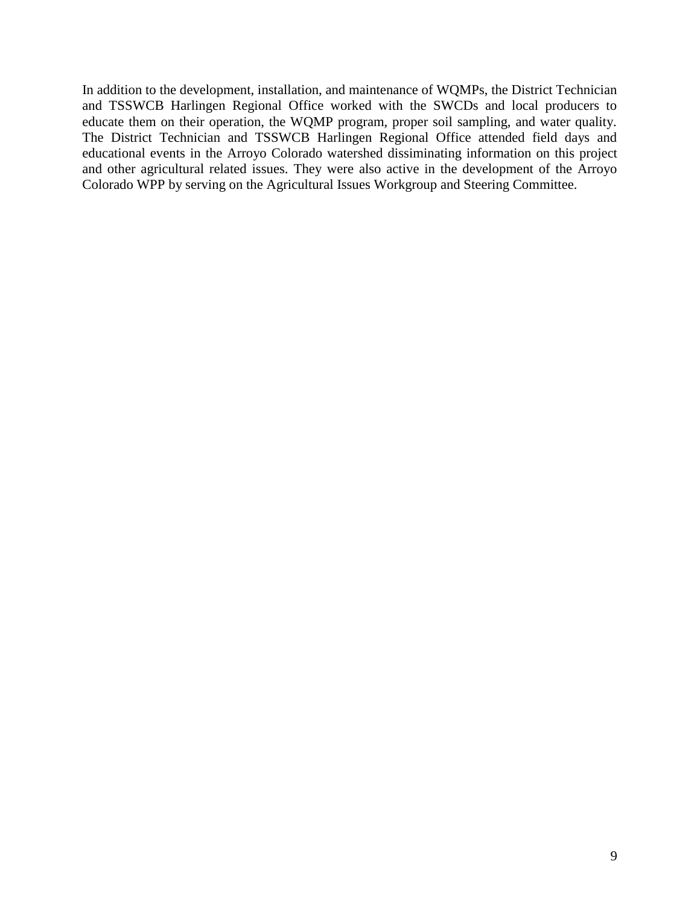In addition to the development, installation, and maintenance of WQMPs, the District Technician and TSSWCB Harlingen Regional Office worked with the SWCDs and local producers to educate them on their operation, the WQMP program, proper soil sampling, and water quality. The District Technician and TSSWCB Harlingen Regional Office attended field days and educational events in the Arroyo Colorado watershed dissiminating information on this project and other agricultural related issues. They were also active in the development of the Arroyo Colorado WPP by serving on the Agricultural Issues Workgroup and Steering Committee.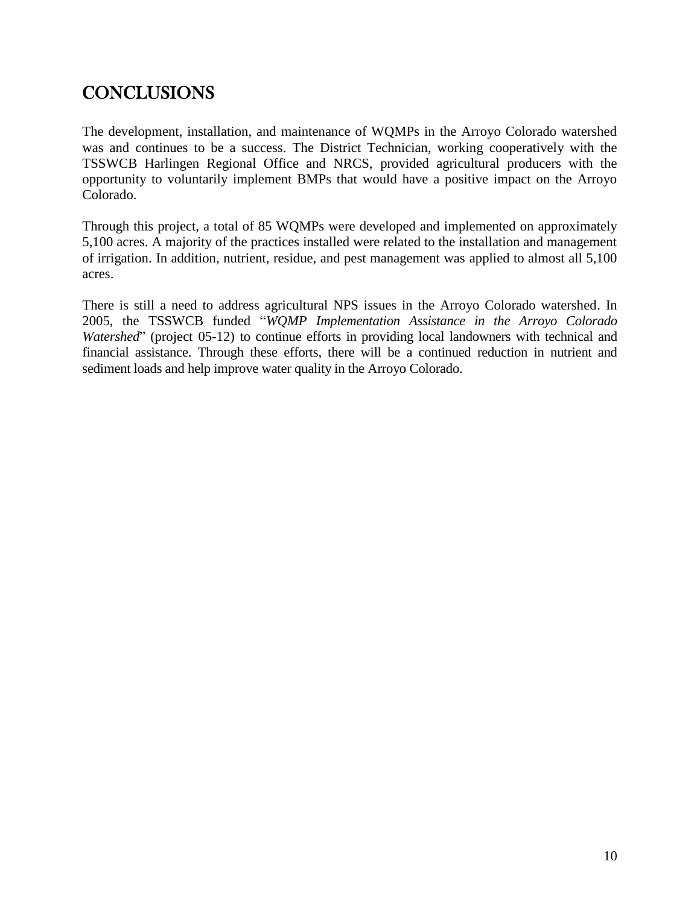## **CONCLUSIONS**

The development, installation, and maintenance of WQMPs in the Arroyo Colorado watershed was and continues to be a success. The District Technician, working cooperatively with the TSSWCB Harlingen Regional Office and NRCS, provided agricultural producers with the opportunity to voluntarily implement BMPs that would have a positive impact on the Arroyo Colorado.

Through this project, a total of 85 WQMPs were developed and implemented on approximately 5,100 acres. A majority of the practices installed were related to the installation and management of irrigation. In addition, nutrient, residue, and pest management was applied to almost all 5,100 acres.

There is still a need to address agricultural NPS issues in the Arroyo Colorado watershed. In 2005, the TSSWCB funded "*WQMP Implementation Assistance in the Arroyo Colorado Watershed*" (project 05-12) to continue efforts in providing local landowners with technical and financial assistance. Through these efforts, there will be a continued reduction in nutrient and sediment loads and help improve water quality in the Arroyo Colorado.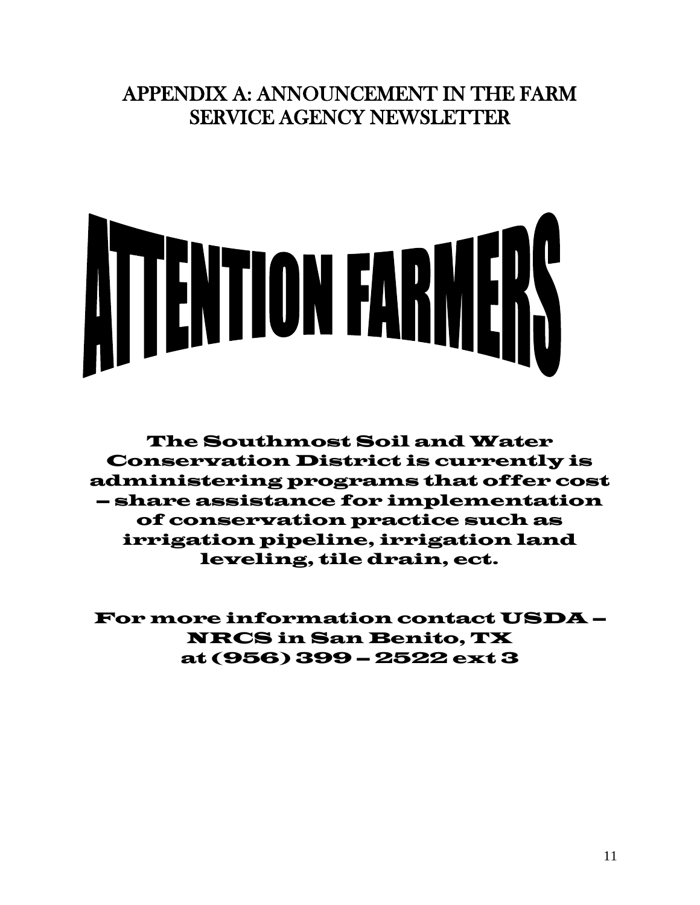## APPENDIX A: ANNOUNCEMENT IN THE FARM SERVICE AGENCY NEWSLETTER



The Southmost Soil and Water Conservation District is currently is administering programs that offer cost – share assistance for implementation of conservation practice such as irrigation pipeline, irrigation land leveling, tile drain, ect.

For more information contact USDA – NRCS in San Benito, TX at (956) 399 – 2522 ext 3